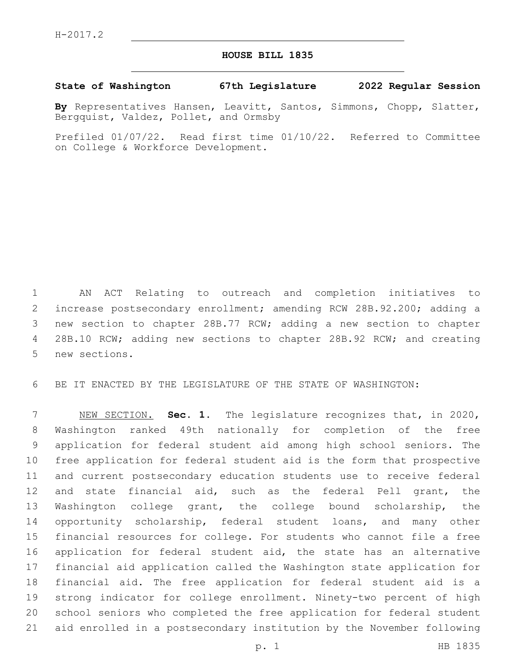## **HOUSE BILL 1835**

## **State of Washington 67th Legislature 2022 Regular Session**

**By** Representatives Hansen, Leavitt, Santos, Simmons, Chopp, Slatter, Bergquist, Valdez, Pollet, and Ormsby

Prefiled 01/07/22. Read first time 01/10/22. Referred to Committee on College & Workforce Development.

 AN ACT Relating to outreach and completion initiatives to increase postsecondary enrollment; amending RCW 28B.92.200; adding a new section to chapter 28B.77 RCW; adding a new section to chapter 4 28B.10 RCW; adding new sections to chapter 28B.92 RCW; and creating 5 new sections.

BE IT ENACTED BY THE LEGISLATURE OF THE STATE OF WASHINGTON:

 NEW SECTION. **Sec. 1.** The legislature recognizes that, in 2020, Washington ranked 49th nationally for completion of the free application for federal student aid among high school seniors. The free application for federal student aid is the form that prospective and current postsecondary education students use to receive federal and state financial aid, such as the federal Pell grant, the Washington college grant, the college bound scholarship, the opportunity scholarship, federal student loans, and many other financial resources for college. For students who cannot file a free application for federal student aid, the state has an alternative financial aid application called the Washington state application for financial aid. The free application for federal student aid is a strong indicator for college enrollment. Ninety-two percent of high school seniors who completed the free application for federal student aid enrolled in a postsecondary institution by the November following

p. 1 HB 1835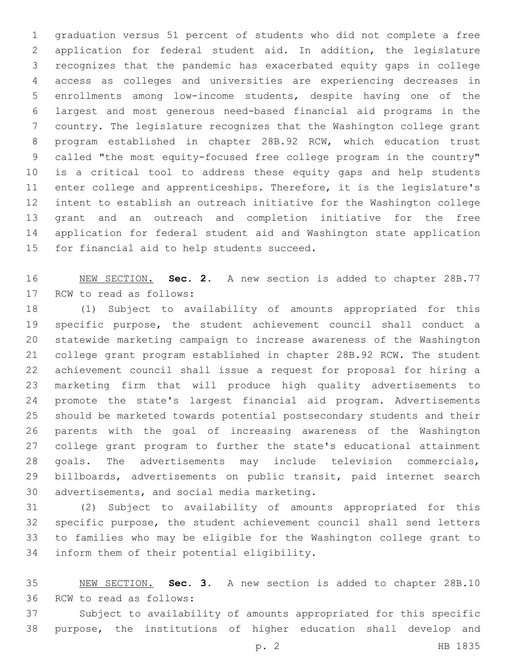graduation versus 51 percent of students who did not complete a free application for federal student aid. In addition, the legislature recognizes that the pandemic has exacerbated equity gaps in college access as colleges and universities are experiencing decreases in enrollments among low-income students, despite having one of the largest and most generous need-based financial aid programs in the country. The legislature recognizes that the Washington college grant program established in chapter 28B.92 RCW, which education trust called "the most equity-focused free college program in the country" is a critical tool to address these equity gaps and help students enter college and apprenticeships. Therefore, it is the legislature's intent to establish an outreach initiative for the Washington college grant and an outreach and completion initiative for the free application for federal student aid and Washington state application 15 for financial aid to help students succeed.

 NEW SECTION. **Sec. 2.** A new section is added to chapter 28B.77 17 RCW to read as follows:

 (1) Subject to availability of amounts appropriated for this specific purpose, the student achievement council shall conduct a statewide marketing campaign to increase awareness of the Washington college grant program established in chapter 28B.92 RCW. The student achievement council shall issue a request for proposal for hiring a marketing firm that will produce high quality advertisements to promote the state's largest financial aid program. Advertisements should be marketed towards potential postsecondary students and their parents with the goal of increasing awareness of the Washington college grant program to further the state's educational attainment goals. The advertisements may include television commercials, billboards, advertisements on public transit, paid internet search 30 advertisements, and social media marketing.

 (2) Subject to availability of amounts appropriated for this specific purpose, the student achievement council shall send letters to families who may be eligible for the Washington college grant to 34 inform them of their potential eligibility.

 NEW SECTION. **Sec. 3.** A new section is added to chapter 28B.10 36 RCW to read as follows:

 Subject to availability of amounts appropriated for this specific purpose, the institutions of higher education shall develop and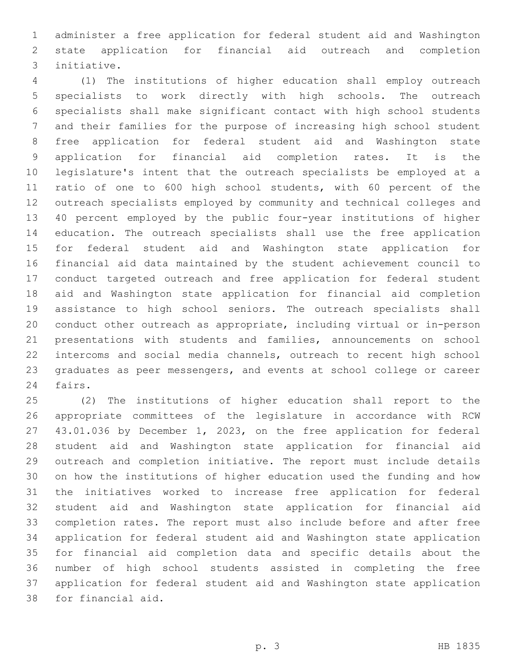administer a free application for federal student aid and Washington state application for financial aid outreach and completion initiative.3

 (1) The institutions of higher education shall employ outreach specialists to work directly with high schools. The outreach specialists shall make significant contact with high school students and their families for the purpose of increasing high school student free application for federal student aid and Washington state application for financial aid completion rates. It is the legislature's intent that the outreach specialists be employed at a ratio of one to 600 high school students, with 60 percent of the outreach specialists employed by community and technical colleges and 40 percent employed by the public four-year institutions of higher education. The outreach specialists shall use the free application for federal student aid and Washington state application for financial aid data maintained by the student achievement council to conduct targeted outreach and free application for federal student aid and Washington state application for financial aid completion assistance to high school seniors. The outreach specialists shall conduct other outreach as appropriate, including virtual or in-person presentations with students and families, announcements on school intercoms and social media channels, outreach to recent high school graduates as peer messengers, and events at school college or career 24 fairs.

 (2) The institutions of higher education shall report to the appropriate committees of the legislature in accordance with RCW 43.01.036 by December 1, 2023, on the free application for federal student aid and Washington state application for financial aid outreach and completion initiative. The report must include details on how the institutions of higher education used the funding and how the initiatives worked to increase free application for federal student aid and Washington state application for financial aid completion rates. The report must also include before and after free application for federal student aid and Washington state application for financial aid completion data and specific details about the number of high school students assisted in completing the free application for federal student aid and Washington state application 38 for financial aid.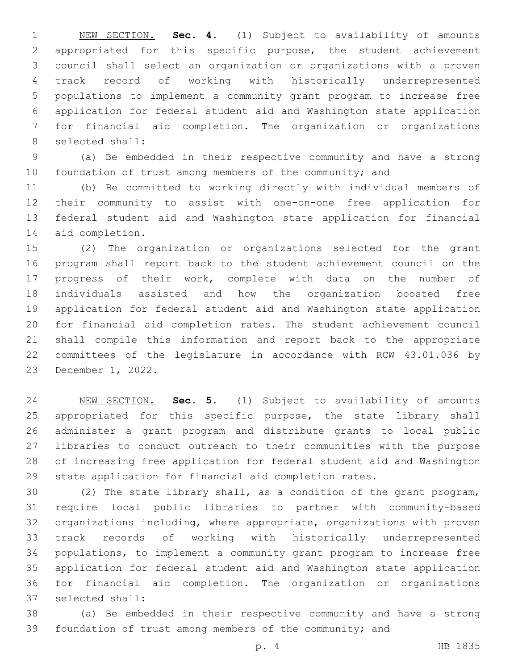NEW SECTION. **Sec. 4.** (1) Subject to availability of amounts appropriated for this specific purpose, the student achievement council shall select an organization or organizations with a proven track record of working with historically underrepresented populations to implement a community grant program to increase free application for federal student aid and Washington state application for financial aid completion. The organization or organizations selected shall:

 (a) Be embedded in their respective community and have a strong 10 foundation of trust among members of the community; and

 (b) Be committed to working directly with individual members of their community to assist with one-on-one free application for federal student aid and Washington state application for financial 14 aid completion.

 (2) The organization or organizations selected for the grant program shall report back to the student achievement council on the progress of their work, complete with data on the number of individuals assisted and how the organization boosted free application for federal student aid and Washington state application for financial aid completion rates. The student achievement council shall compile this information and report back to the appropriate committees of the legislature in accordance with RCW 43.01.036 by 23 December 1, 2022.

 NEW SECTION. **Sec. 5.** (1) Subject to availability of amounts 25 appropriated for this specific purpose, the state library shall administer a grant program and distribute grants to local public libraries to conduct outreach to their communities with the purpose of increasing free application for federal student aid and Washington state application for financial aid completion rates.

 (2) The state library shall, as a condition of the grant program, require local public libraries to partner with community-based organizations including, where appropriate, organizations with proven track records of working with historically underrepresented populations, to implement a community grant program to increase free application for federal student aid and Washington state application for financial aid completion. The organization or organizations 37 selected shall:

 (a) Be embedded in their respective community and have a strong foundation of trust among members of the community; and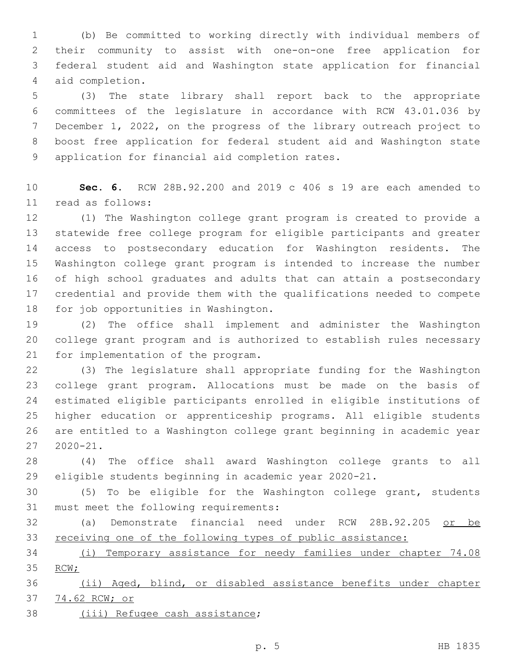(b) Be committed to working directly with individual members of their community to assist with one-on-one free application for federal student aid and Washington state application for financial aid completion.4

 (3) The state library shall report back to the appropriate committees of the legislature in accordance with RCW 43.01.036 by December 1, 2022, on the progress of the library outreach project to boost free application for federal student aid and Washington state 9 application for financial aid completion rates.

 **Sec. 6.** RCW 28B.92.200 and 2019 c 406 s 19 are each amended to read as follows:11

 (1) The Washington college grant program is created to provide a statewide free college program for eligible participants and greater access to postsecondary education for Washington residents. The Washington college grant program is intended to increase the number of high school graduates and adults that can attain a postsecondary credential and provide them with the qualifications needed to compete 18 for job opportunities in Washington.

 (2) The office shall implement and administer the Washington college grant program and is authorized to establish rules necessary 21 for implementation of the program.

 (3) The legislature shall appropriate funding for the Washington college grant program. Allocations must be made on the basis of estimated eligible participants enrolled in eligible institutions of higher education or apprenticeship programs. All eligible students are entitled to a Washington college grant beginning in academic year 2020-21.

 (4) The office shall award Washington college grants to all eligible students beginning in academic year 2020-21.

 (5) To be eligible for the Washington college grant, students 31 must meet the following requirements:

 (a) Demonstrate financial need under RCW 28B.92.205 or be receiving one of the following types of public assistance:

 (i) Temporary assistance for needy families under chapter 74.08 35 RCW;

 (ii) Aged, blind, or disabled assistance benefits under chapter 74.62 RCW; or

38 (iii) Refugee cash assistance;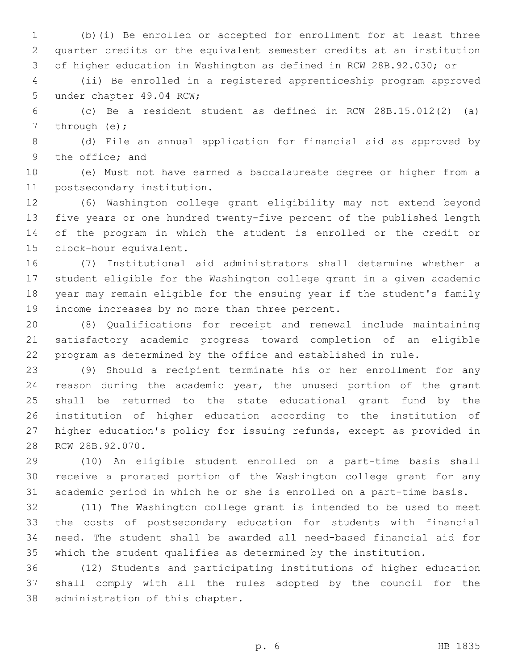(b)(i) Be enrolled or accepted for enrollment for at least three quarter credits or the equivalent semester credits at an institution of higher education in Washington as defined in RCW 28B.92.030; or

 (ii) Be enrolled in a registered apprenticeship program approved 5 under chapter 49.04 RCW;

 (c) Be a resident student as defined in RCW 28B.15.012(2) (a) 7 through  $(e)$ ;

 (d) File an annual application for financial aid as approved by 9 the office; and

 (e) Must not have earned a baccalaureate degree or higher from a 11 postsecondary institution.

 (6) Washington college grant eligibility may not extend beyond five years or one hundred twenty-five percent of the published length of the program in which the student is enrolled or the credit or 15 clock-hour equivalent.

 (7) Institutional aid administrators shall determine whether a student eligible for the Washington college grant in a given academic year may remain eligible for the ensuing year if the student's family 19 income increases by no more than three percent.

 (8) Qualifications for receipt and renewal include maintaining satisfactory academic progress toward completion of an eligible program as determined by the office and established in rule.

 (9) Should a recipient terminate his or her enrollment for any reason during the academic year, the unused portion of the grant shall be returned to the state educational grant fund by the institution of higher education according to the institution of higher education's policy for issuing refunds, except as provided in 28 RCW 28B.92.070.

 (10) An eligible student enrolled on a part-time basis shall receive a prorated portion of the Washington college grant for any academic period in which he or she is enrolled on a part-time basis.

 (11) The Washington college grant is intended to be used to meet the costs of postsecondary education for students with financial need. The student shall be awarded all need-based financial aid for which the student qualifies as determined by the institution.

 (12) Students and participating institutions of higher education shall comply with all the rules adopted by the council for the 38 administration of this chapter.